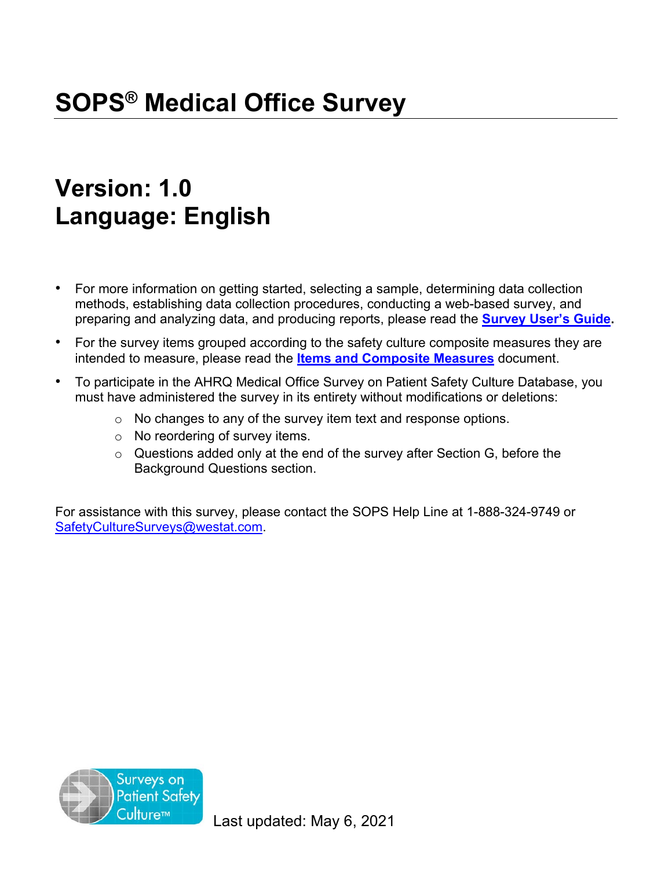# **Version: 1.0 Language: English**

- For more information on getting started, selecting a sample, determining data collection methods, establishing data collection procedures, conducting a web-based survey, and preparing and analyzing data, and producing reports, please read the **[Survey User's Guide.](https://www.ahrq.gov/sites/default/files/wysiwyg/sops/surveys/medical-office/Medical-Office-Users-Guide-2021.pdf)**
- For the survey items grouped according to the safety culture composite measures they are intended to measure, please read the **Items [and Composite](https://www.ahrq.gov/sites/default/files/wysiwyg/sops/surveys/medical-office/MO_Items-Composite_Measures.pdf) Measures** document.
- To participate in the AHRQ Medical Office Survey on Patient Safety Culture Database, you must have administered the survey in its entirety without modifications or deletions:
	- o No changes to any of the survey item text and response options.
	- o No reordering of survey items.
	- o Questions added only at the end of the survey after Section G, before the Background Questions section.

For assistance with this survey, please contact the SOPS Help Line at 1-888-324-9749 or [SafetyCultureSurveys@westat.com.](mailto:SafetyCultureSurveys@westat.com)

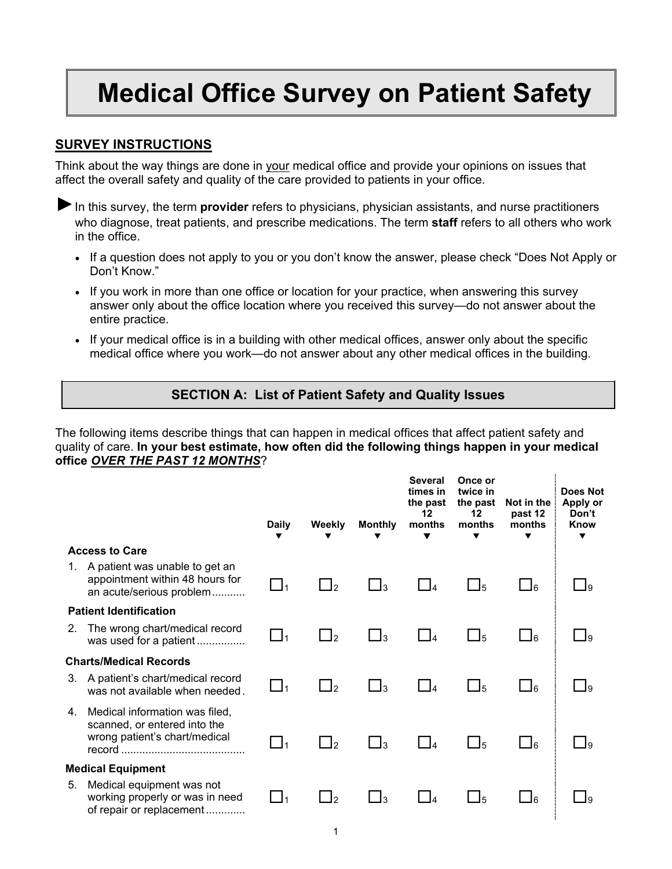# **Medical Office Survey on Patient Safety**

### **SURVEY INSTRUCTIONS**

Think about the way things are done in your medical office and provide your opinions on issues that affect the overall safety and quality of the care provided to patients in your office.

► In this survey, the term **provider** refers to physicians, physician assistants, and nurse practitioners who diagnose, treat patients, and prescribe medications. The term **staff** refers to all others who work in the office.

- If a question does not apply to you or you don't know the answer, please check "Does Not Apply or Don't Know."
- If you work in more than one office or location for your practice, when answering this survey answer only about the office location where you received this survey—do not answer about the entire practice.
- If your medical office is in a building with other medical offices, answer only about the specific medical office where you work—do not answer about any other medical offices in the building.

## **SECTION A: List of Patient Safety and Quality Issues**

The following items describe things that can happen in medical offices that affect patient safety and quality of care. **In your best estimate, how often did the following things happen in your medical office** *OVER THE PAST 12 MONTHS*?

|    |                                                                                                 | <b>Daily</b>      | Weekly         | <b>Monthly</b>       | <b>Several</b><br>times in<br>the past<br>12<br>months | Once or<br>twice in<br>the past<br>12<br>months | Not in the<br>past 12<br>months | Does Not<br>Apply or<br>Don't<br>Know<br>▼ |
|----|-------------------------------------------------------------------------------------------------|-------------------|----------------|----------------------|--------------------------------------------------------|-------------------------------------------------|---------------------------------|--------------------------------------------|
|    | <b>Access to Care</b>                                                                           |                   |                |                      |                                                        |                                                 |                                 |                                            |
| 1. | A patient was unable to get an<br>appointment within 48 hours for<br>an acute/serious problem   | $\_1_1$           | $\Box_2$       | $\Box$ 3             | $\overline{4}$                                         | $\Box$ 5                                        | $\bigsqcup_6$                   | I۹                                         |
|    | <b>Patient Identification</b>                                                                   |                   |                |                      |                                                        |                                                 |                                 |                                            |
| 2. | The wrong chart/medical record<br>was used for a patient                                        | $\mathcal{L}_{1}$ | $\mathsf{I}_2$ | $\mathsf{1}$         | $\vert$ $\vert$ 4                                      | J5                                              | $\Box$ 6                        | I۹                                         |
|    | <b>Charts/Medical Records</b>                                                                   |                   |                |                      |                                                        |                                                 |                                 |                                            |
| 3. | A patient's chart/medical record<br>was not available when needed.                              | $\Box$ 1          | $\mathsf{I}_2$ | _13                  | $\vert$ $\vert$ 4                                      | $\Box$ 5                                        | $\bigsqcup_6$                   | Ιa                                         |
| 4. | Medical information was filed,<br>scanned, or entered into the<br>wrong patient's chart/medical | $\Box_1$          | $\Box_2$       | $\Box$ 3             | $ $ $ $                                                | $\Box_5$                                        | $\Box_6$                        | I۹                                         |
|    | <b>Medical Equipment</b>                                                                        |                   |                |                      |                                                        |                                                 |                                 |                                            |
| 5. | Medical equipment was not<br>working properly or was in need<br>of repair or replacement        |                   | J2             | $\vert$ <sub>3</sub> | $\overline{A}$                                         | $\mathsf{\mathsf{\underline{J}}}_5$             | $\sqcup_6$                      | I۵                                         |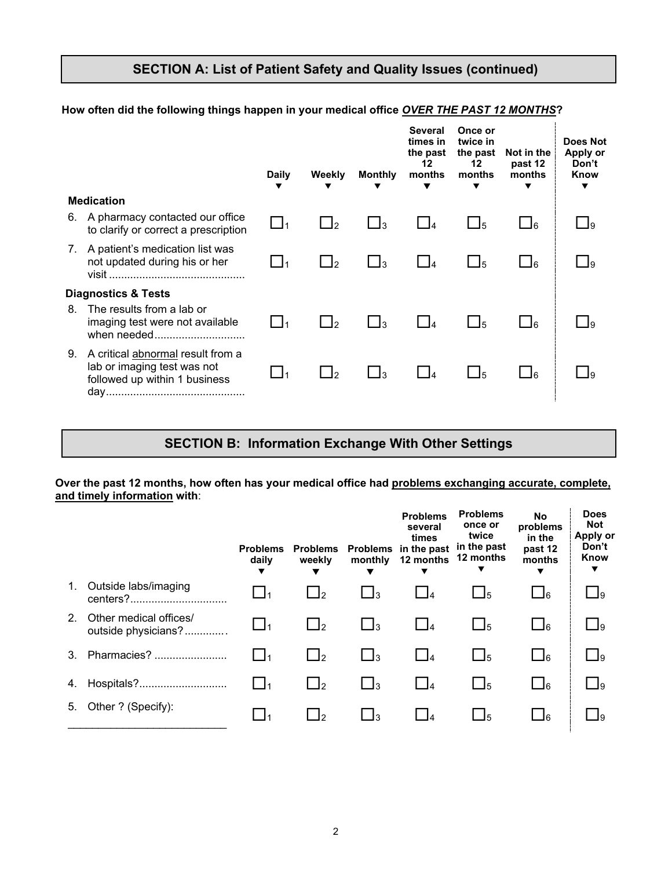#### **SECTION A: List of Patient Safety and Quality Issues (continued)**

#### $\begin{array}{ccccccccccccccccc} \mathbf{v} & \mathbf{v} & \mathbf{v} & \mathbf{v} & \mathbf{v} & \mathbf{v} & \mathbf{v} & \mathbf{v} & \mathbf{v} & \mathbf{v} & \mathbf{v} & \mathbf{v} & \mathbf{v} & \mathbf{v} & \mathbf{v} & \mathbf{v} & \mathbf{v} & \mathbf{v} & \mathbf{v} & \mathbf{v} & \mathbf{v} & \mathbf{v} & \mathbf{v} & \mathbf{v} & \mathbf{v} & \mathbf{v} & \mathbf{v} & \mathbf{v} & \mathbf{v} & \mathbf{v}$ **Statement Daily Weekly Monthly Several times in the past 12 months Once or twice in the past Not in the 12 months past 12 months Does Not Apply or Don't Know Medication** 6. A pharmacy contacted our office to clarify or correct a prescription  $\Box$  1  $\Box$  2  $\Box$  3  $\Box$  4  $\Box$  5  $\Box$  6  $\Box$  9 7. A patient's medication list was not updated during his or her visit ............................................. <sup>1</sup> <sup>2</sup> <sup>3</sup> <sup>4</sup> <sup>5</sup> <sup>6</sup> <sup>9</sup> **Diagnostics & Tests** 8. The results from a lab or imaging test were not available  $\qquad \Box_1 \qquad \Box_2 \qquad \Box_3 \qquad \Box_4 \qquad \Box_5 \qquad \Box_6 \qquad \Box_9$ 9. A critical abnormal result from a lab or imaging test was not followed up within 1 business day..............................................  $\square_1$   $\square_2$   $\square_3$   $\square_4$   $\square_5$   $\square_6$   $\square_9$

#### **How often did the following things happen in your medical office** *OVER THE PAST 12 MONTHS***?**

#### **SECTION B: Information Exchange With Other Settings**

#### **Over the past 12 months, how often has your medical office had problems exchanging accurate, complete, and timely information with**:

|                |                                               | <b>Problems</b><br>daily | <b>Problems</b><br>weekly | <b>Problems</b><br>monthly | <b>Problems</b><br>several<br>times<br>in the past<br>12 months | <b>Problems</b><br>once or<br>twice<br>in the past<br>12 months<br>▼ | No<br>problems<br>in the<br>past 12<br>months<br>▼ | <b>Does</b><br><b>Not</b><br>Apply or<br>Don't<br>Know<br>▼ |
|----------------|-----------------------------------------------|--------------------------|---------------------------|----------------------------|-----------------------------------------------------------------|----------------------------------------------------------------------|----------------------------------------------------|-------------------------------------------------------------|
| 1.             | Outside labs/imaging                          |                          | ∐∍                        | $\bigsqcup$ 3              |                                                                 | $\Box$ <sub>5</sub>                                                  | $\Box$ 6                                           | 9∟                                                          |
| 2 <sub>1</sub> | Other medical offices/<br>outside physicians? |                          | $\Box$ 2                  | $\bigsqcup$ 3              | $\Box$ 4                                                        | $\Box$ <sub>5</sub>                                                  | $\Box$ 6                                           | 9∟                                                          |
| 3.             | Pharmacies?                                   |                          | $\Box$ 2                  | $\Box$ 3                   | $\Box$ 4                                                        | $\Box$ <sub>5</sub>                                                  | $\Box$ 6                                           | $\bigsqcup$ 9                                               |
| 4.             | Hospitals?                                    |                          | $\Box$                    | $\bigsqcup$ <sub>3</sub>   | $\Box$ 4                                                        | $\Box$ <sub>5</sub>                                                  | $\Box$ 6                                           | 9∟                                                          |
| 5.             | Other ? (Specify):                            |                          | $\cdot$ 12                | $\Box$ 3                   |                                                                 | $\bigsqcup 5$                                                        | J6                                                 |                                                             |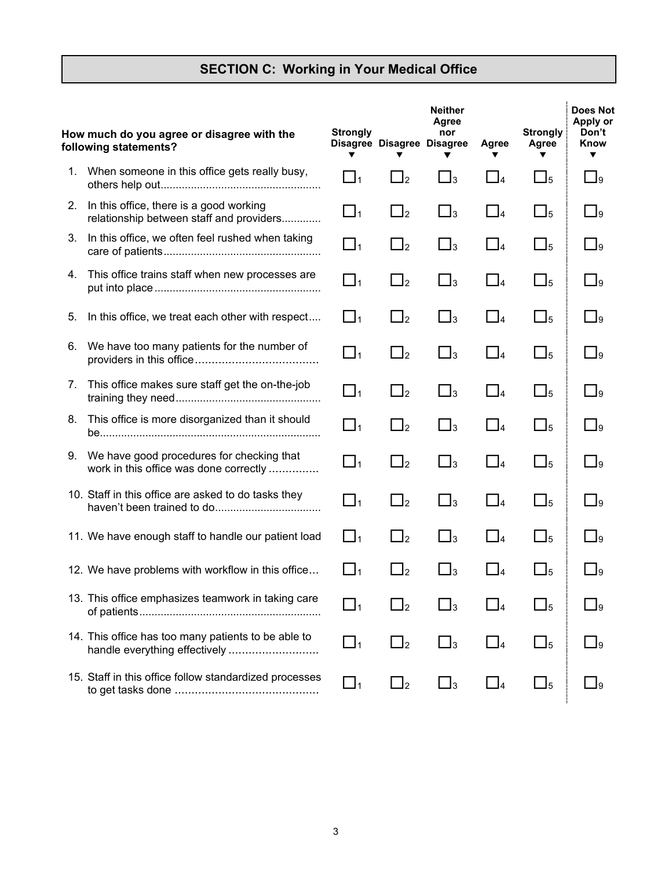# **SECTION C: Working in Your Medical Office**

|    | How much do you agree or disagree with the<br>following statements?                  | <b>Strongly</b> | Disagree Disagree Disagree | <b>Neither</b><br>Agree<br>nor<br>▼ | Agree                    | <b>Strongly</b><br>Agree | <b>Does Not</b><br>Apply or<br>Don't<br>Know<br>▼ |
|----|--------------------------------------------------------------------------------------|-----------------|----------------------------|-------------------------------------|--------------------------|--------------------------|---------------------------------------------------|
|    | 1. When someone in this office gets really busy,                                     | $\Box_1$        | $\Box_2$                   | $\Box$ <sub>3</sub>                 | $\Box$ 4                 | $\bigsqcup_5$            | $\bigsqcup$ 9                                     |
| 2. | In this office, there is a good working<br>relationship between staff and providers  | $\Box_1$        | $\Box_2$                   | $\Box_3$                            | $\Box$ 4                 | $\bigsqcup_5$            | $\Box$ 9                                          |
| 3. | In this office, we often feel rushed when taking                                     | $\mathbb{I}_1$  | $\square_2$                | $\Box_3$                            | $\Box$ 4                 | $\bigsqcup_5$            | $\bigsqcup$ 9                                     |
| 4. | This office trains staff when new processes are                                      | $\square_1$     | $\Box$ <sub>2</sub>        | $\Box_3$                            | $\Box$ 4                 | $\Box_5$                 | $\square$ 9                                       |
| 5. | In this office, we treat each other with respect                                     | $\Box_1$        | $\Box$ <sub>2</sub>        | $\square_3$                         | $\Box$ 4                 | $\bigsqcup_5$            | $\Box$ 9                                          |
| 6. | We have too many patients for the number of                                          | $\Box_1$        | $\Box_2$                   | $\Box$ <sub>3</sub>                 | $\Box$ 4                 | $\bigsqcup_5$            | $\bigsqcup$ 9                                     |
| 7. | This office makes sure staff get the on-the-job                                      | $\Box_1$        | $\Box$ 2                   | $\square_3$                         | $\Box$ 4                 | $\bigsqcup_5$            | $\Box_9$                                          |
| 8. | This office is more disorganized than it should                                      | $\Box_1$        | $\square_2$                | $\Box$ <sub>3</sub>                 | $\Box$ 4                 | $\bigsqcup_5$            | $\bigsqcup$ 9                                     |
| 9. | We have good procedures for checking that<br>work in this office was done correctly  | $\Box_1$        | $\Box$ <sub>2</sub>        | $\square_3$                         | $\Box$ 4                 | $\bigsqcup_5$            | $\Box$ 9                                          |
|    | 10. Staff in this office are asked to do tasks they                                  | $\Box$ 1        | $\mathbf{I}_2$             | $\Box_3$                            | $\Box$ 4                 | $\Box_5$                 | وا                                                |
|    | 11. We have enough staff to handle our patient load                                  | $\Box_1$        | $\Box$ <sub>2</sub>        | $\square_3$                         | $\Box$ 4                 | $\bigsqcup_5$            | وا                                                |
|    | 12. We have problems with workflow in this office                                    | $\Gamma_{11}$   | $\Box$ 2                   | $\Box_3$                            | $\mathsf{L}\mathsf{I}_4$ | $\Box$ 5                 | $\mathbf{I}$                                      |
|    | 13. This office emphasizes teamwork in taking care                                   | $\mathbf{I}_1$  |                            |                                     |                          | $\Box$ 5                 | $\bigsqcup$ 9                                     |
|    | 14. This office has too many patients to be able to<br>handle everything effectively | $\Box_1$        | $\Box$ 2                   | $\Box$ 3                            | $\Box$ 4                 | $\bigsqcup_5$            | $\bigsqcup$ 9                                     |
|    | 15. Staff in this office follow standardized processes                               | $\Box_1$        | $\sqcup_2$                 | $\Box$ 3                            | $\Box$ 4                 | $\square_5$              | $\bigsqcup$ 9                                     |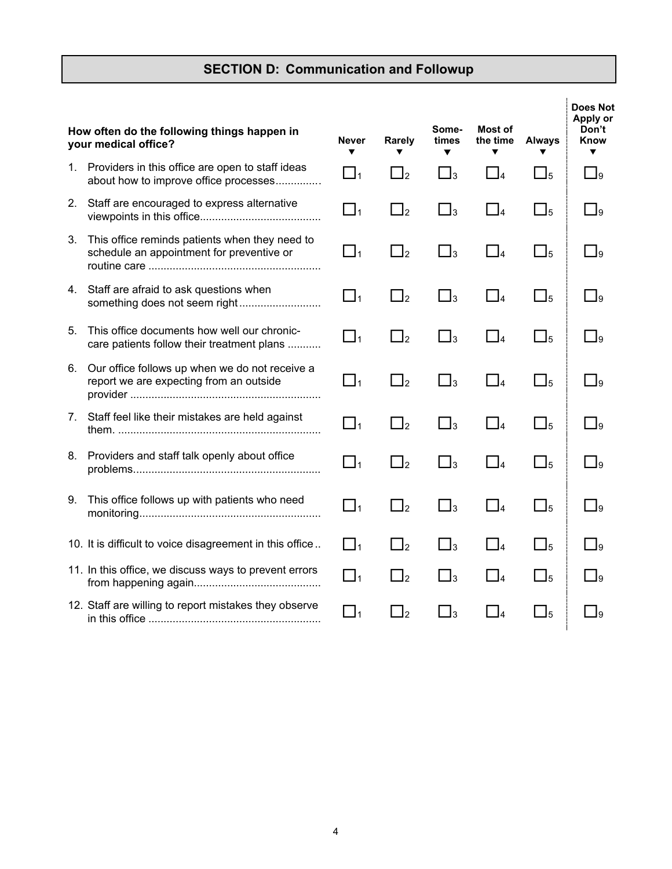# **SECTION D: Communication and Followup**

|    | How often do the following things happen in<br>your medical office?                         | <b>Never</b><br>▼ | Rarely         | Some-<br>times<br>▼ | Most of<br>the time<br>▼ | <b>Always</b>       | <b>Does Not</b><br>Apply or<br>Don't<br>Know<br>▼ |
|----|---------------------------------------------------------------------------------------------|-------------------|----------------|---------------------|--------------------------|---------------------|---------------------------------------------------|
| 1. | Providers in this office are open to staff ideas<br>about how to improve office processes   | $\Box_1$          | $\Box_2$       | $\Box_3$            | $\Box_4$                 | $\square_5$         | $\square$ 9                                       |
| 2. | Staff are encouraged to express alternative                                                 | $\Box_1$          | $\square_2$    | $\square_3$         | $\Box_4$                 | $\square_5$         | $\Box$ 9                                          |
| 3. | This office reminds patients when they need to<br>schedule an appointment for preventive or | $\square_1$       | $\square_2$    | $\square_3$         | $\Box_4$                 | $\square_5$         | $\square_9$                                       |
| 4. | Staff are afraid to ask questions when<br>something does not seem right                     | $\Box_1$          | $\Box_2$       | $\square_3$         | $\Box$ 4                 | $\Box$ <sub>5</sub> | $\Box$ 9                                          |
| 5. | This office documents how well our chronic-<br>care patients follow their treatment plans   | $\Box_1$          | $\square_2$    | $\square_3$         | $\Box$ 4                 | $\square_5$         | $\Box_9$                                          |
| 6. | Our office follows up when we do not receive a<br>report we are expecting from an outside   | $\Box_1$          | $\square_2$    | $\square_3$         | $\Box$ 4                 | $\Box_5$            | $\square_9$                                       |
| 7. | Staff feel like their mistakes are held against                                             | $\Box_1$          | $\Box_2$       | $\Box_3$            | $\Box_4$                 | $\square_5$         | $\Box$ 9                                          |
| 8. | Providers and staff talk openly about office                                                | $\Box_1$          | $\Box_2$       | $\bigsqcup$ 3       | $\Box$ 4                 | $\Box$ <sub>5</sub> | وا                                                |
| 9. | This office follows up with patients who need                                               | $\Box_1$          | $\square_2$    | $\square_3$         | $\Box$ 4                 | $\square_5$         | $\square$ 9                                       |
|    | 10. It is difficult to voice disagreement in this office                                    | $\Box_1$          | $\Box_2$       | $\Box_3$            | $\Box$ 4                 | $\bigsqcup_5$       | $\square$ 9                                       |
|    | 11. In this office, we discuss ways to prevent errors                                       | $\square_1$       | $\square_2$    | $\square_3$         | $\Box$ 4                 | $\bigsqcup_5$       | وا                                                |
|    | 12. Staff are willing to report mistakes they observe                                       | $\Box_1$          | $\mathsf{I}_2$ | $\Box_3$            | $\Box$ 4                 | $\bigsqcup_5$       | 9ل                                                |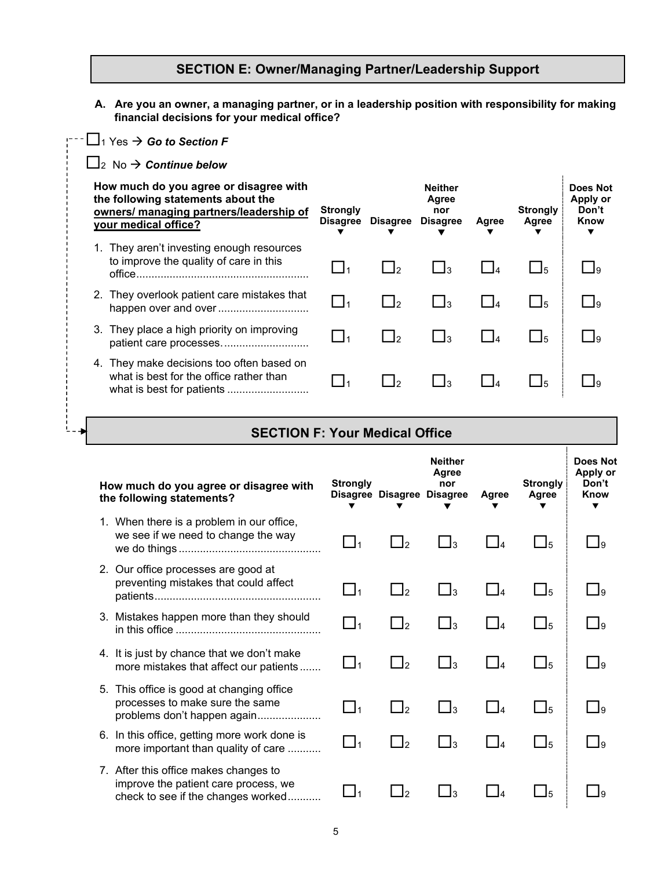#### **SECTION E: Owner/Managing Partner/Leadership Support**

- **A. Are you an owner, a managing partner, or in a leadership position with responsibility for making financial decisions for your medical office?**
- <sup>1</sup> Yes *Go to Section F* 2 No *Continue below*  $\begin{array}{ccccccccccccccccc} \mathbf{v} & \mathbf{v} & \mathbf{v} & \mathbf{v} & \mathbf{v} & \mathbf{v} & \mathbf{v} \end{array}$ **How much do you agree or disagree with the following statements about the owners/ managing partners/leadership of your medical office? Strongly Disagree Disagree Neither Agree nor Disagree Agree Strongly Agree Does Not Apply or Don't Know**  1. They aren't investing enough resources to improve the quality of care in this office......................................................... <sup>1</sup> <sup>2</sup> <sup>3</sup> <sup>4</sup> <sup>5</sup> <sup>9</sup> 2. They overlook patient care mistakes that happen over and over.............................. <sup>1</sup> <sup>2</sup> <sup>3</sup> <sup>4</sup> <sup>5</sup> <sup>9</sup> 3. They place a high priority on improving patient care processes............................. <sup>1</sup> <sup>2</sup> <sup>3</sup> <sup>4</sup> <sup>5</sup> <sup>9</sup> 4. They make decisions too often based on what is best for the office rather than what is best for patients ........................... <sup>1</sup> <sup>2</sup> <sup>3</sup> <sup>4</sup> <sup>5</sup> <sup>9</sup>

 $L = -1$ 

| <b>SECTION F: Your Medical Office</b>                                                                               |                 |                            |                                |       |                          |                                              |
|---------------------------------------------------------------------------------------------------------------------|-----------------|----------------------------|--------------------------------|-------|--------------------------|----------------------------------------------|
| How much do you agree or disagree with<br>the following statements?                                                 | <b>Strongly</b> | Disagree Disagree Disagree | <b>Neither</b><br>Agree<br>nor | Agree | <b>Strongly</b><br>Agree | <b>Does Not</b><br>Apply or<br>Don't<br>Know |
| 1. When there is a problem in our office,<br>we see if we need to change the way                                    | $\blacksquare$  | $\mathbf{I}_2$             | Δз                             |       | $\Box$ <sub>5</sub>      | $\Box$ 9                                     |
| 2. Our office processes are good at<br>preventing mistakes that could affect                                        | $\Box_1$        | $\Box_2$                   | $\bigsqcup$ 3                  |       | $\Box_5$                 | $\Box$ 9                                     |
| 3. Mistakes happen more than they should                                                                            | $\Box$ 1        | $\Box_2$                   | $\mathsf{a}_3$                 |       | $\Box_5$                 | -la                                          |
| 4. It is just by chance that we don't make<br>more mistakes that affect our patients                                | l l1            | $\sqcup_2$                 | $\Box$ 3                       |       | $\Box$ <sub>5</sub>      | - Ia                                         |
| 5. This office is good at changing office<br>processes to make sure the same<br>problems don't happen again         | $\sqcup_1$      | $\overline{\Box}$          | $\Box_3$                       |       | $\bigsqcup_5$            | $\Box$ 9                                     |
| 6. In this office, getting more work done is<br>more important than quality of care                                 | $\Box$ 1        | $\Box_2$                   | $\Box_3$                       |       | $\Box_5$                 | $\Box$                                       |
| 7. After this office makes changes to<br>improve the patient care process, we<br>check to see if the changes worked |                 |                            | 3                              |       | $\Box$ 5                 |                                              |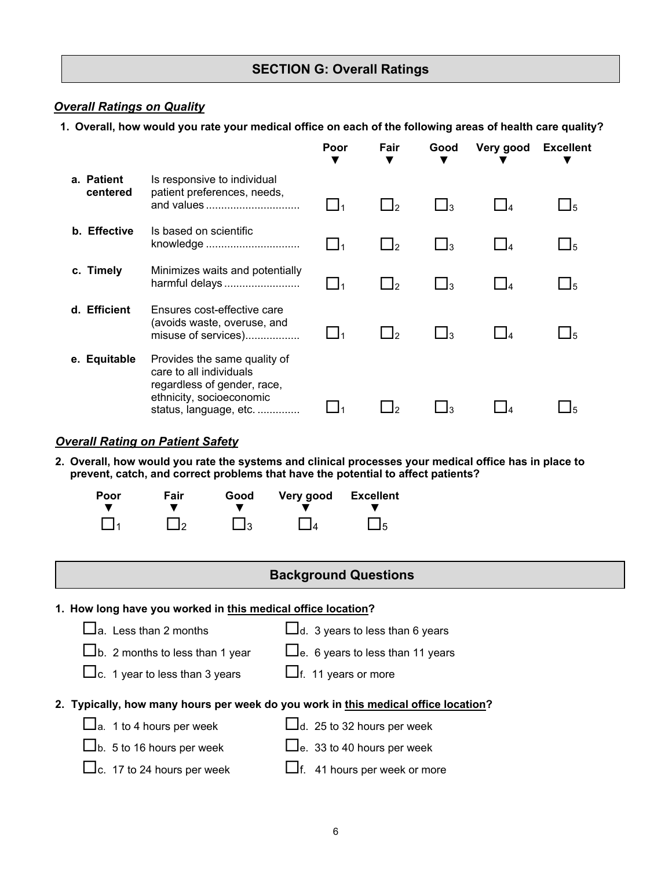#### **SECTION G: Overall Ratings**

#### *Overall Ratings on Quality*

**1. Overall, how would you rate your medical office on each of the following areas of health care quality?**

|                        |                                                                                                                                              | Poor<br>v | Fair                      | Good                 | Very good      | <b>Excellent</b> |
|------------------------|----------------------------------------------------------------------------------------------------------------------------------------------|-----------|---------------------------|----------------------|----------------|------------------|
| a. Patient<br>centered | Is responsive to individual<br>patient preferences, needs,<br>and values                                                                     |           | $\mathbf{I}_2$            | $\mathbf{I}_3$       |                |                  |
| b. Effective           | Is based on scientific<br>knowledge                                                                                                          |           | $\vert$ $\vert$ $\vert$ 2 | <u>_ 13</u>          | $\Box$ 4       | <u> 15</u>       |
| c. Timely              | Minimizes waits and potentially<br>harmful delays                                                                                            |           | $\mathsf{I}$              | _1з                  | $\blacksquare$ | J5               |
| d. Efficient           | Ensures cost-effective care<br>(avoids waste, overuse, and<br>misuse of services)                                                            |           | $\mathsf{I}$              | $\vert$ <sub>3</sub> | $\Box$ 4       |                  |
| e. Equitable           | Provides the same quality of<br>care to all individuals<br>regardless of gender, race,<br>ethnicity, socioeconomic<br>status, language, etc. |           |                           |                      |                |                  |

#### *Overall Rating on Patient Safety*

**2. Overall, how would you rate the systems and clinical processes your medical office has in place to prevent, catch, and correct problems that have the potential to affect patients?**

| Poor        | Fair     | Good        | Very good | <b>Excellent</b> |
|-------------|----------|-------------|-----------|------------------|
| $\prod_{1}$ | $\Box$ 2 | $\square_3$ | $\Box$    | $\square_5$      |

**1. How long have you worked in this medical office location?** 

 $\Box$ a. Less than 2 months

 $\Box$ d. 3 years to less than 6 years

 $\Box$ b. 2 months to less than 1 year  $\Box$ e. 6 years to less than 11 years

 $\Box$ c. 1 year to less than 3 years  $\Box$ f. 11 years or more

**2. Typically, how many hours per week do you work in this medical office location?** 

 $\Box$ a. 1 to 4 hours per week

 $\Box$ d. 25 to 32 hours per week

 $\Box$ b. 5 to 16 hours per week  $\Box$ e. 33 to 40 hours per week

 $\Box$ c. 17 to 24 hours per week  $\Box$ f. 41 hours per week or more